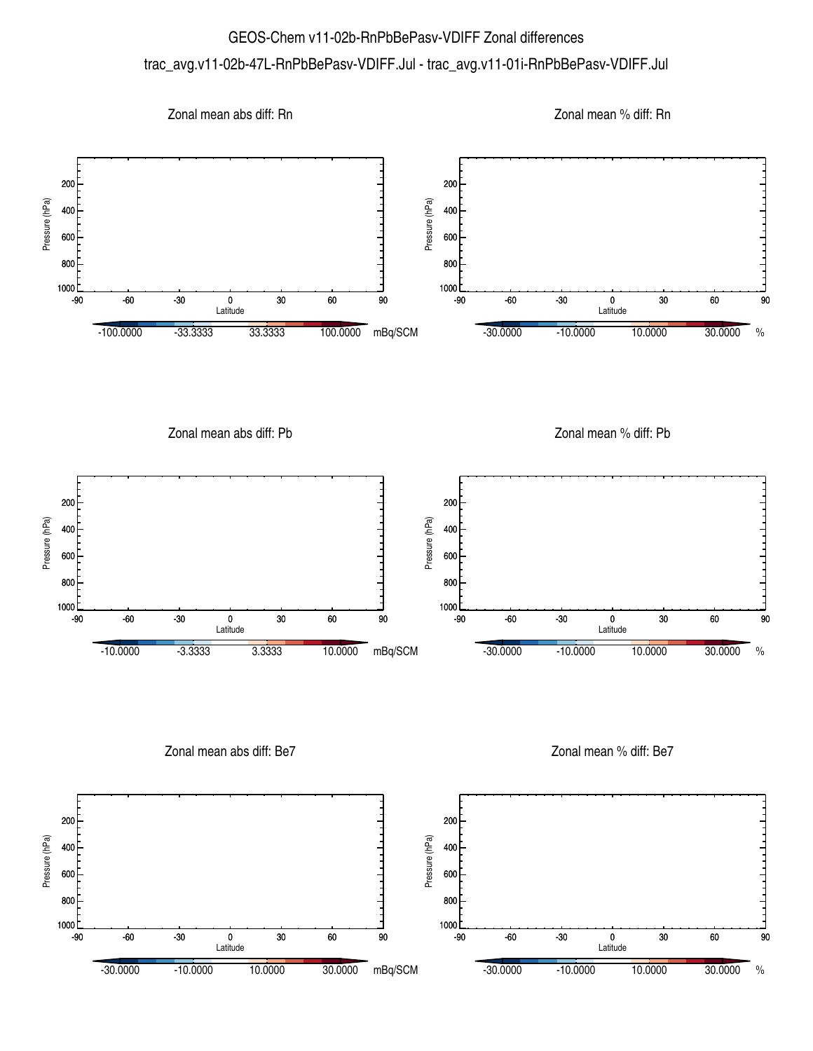## GEOS-Chem v11-02b-RnPbBePasv-VDIFF Zonal differences trac\_avg.v11-02b-47L-RnPbBePasv-VDIFF.Jul - trac\_avg.v11-01i-RnPbBePasv-VDIFF.Jul